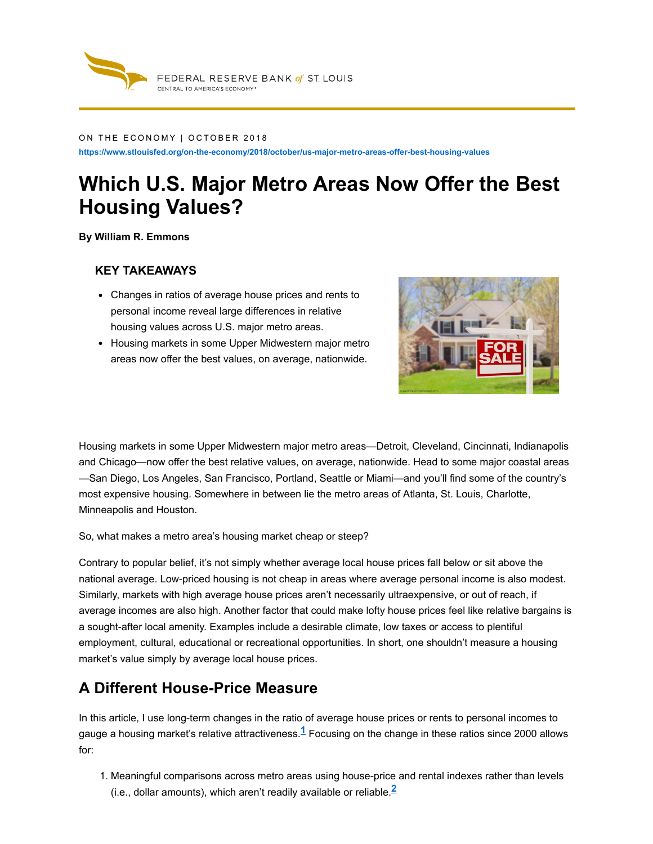

#### ON THE ECONOMY | OCTOBER 2018

**https://www.stlouisfed.org/on-the-economy/2018/october/us-major-metro-areas-offer-best-housing-values**

# **Which U.S. Major Metro Areas Now Offer the Best Housing Values?**

**By William R. Emmons**

#### **KEY TAKEAWAYS**

- Changes in ratios of average house prices and rents to personal income reveal large differences in relative housing values across U.S. major metro areas.
- Housing markets in some Upper Midwestern major metro areas now offer the best values, on average, nationwide.



Housing markets in some Upper Midwestern major metro areas—Detroit, Cleveland, Cincinnati, Indianapolis and Chicago—now offer the best relative values, on average, nationwide. Head to some major coastal areas —San Diego, Los Angeles, San Francisco, Portland, Seattle or Miami—and you'll find some of the country's most expensive housing. Somewhere in between lie the metro areas of Atlanta, St. Louis, Charlotte, Minneapolis and Houston.

So, what makes a metro area's housing market cheap or steep?

Contrary to popular belief, it's not simply whether average local house prices fall below or sit above the national average. Low-priced housing is not cheap in areas where average personal income is also modest. Similarly, markets with high average house prices aren't necessarily ultraexpensive, or out of reach, if average incomes are also high. Another factor that could make lofty house prices feel like relative bargains is a sought-after local amenity. Examples include a desirable climate, low taxes or access to plentiful employment, cultural, educational or recreational opportunities. In short, one shouldn't measure a housing market's value simply by average local house prices.

#### **A Different House-Price Measure**

In this article, I use long-term changes in the ratio of average house prices or rents to personal incomes to gauge a housing market's relative attractiveness. $\frac{1}{1}$  Focusing on the change in these ratios since 2000 allows for:

1. Meaningful comparisons across metro areas using house-price and rental indexes rather than levels (i.e., dollar amounts), which aren't readily available or reliable. **2**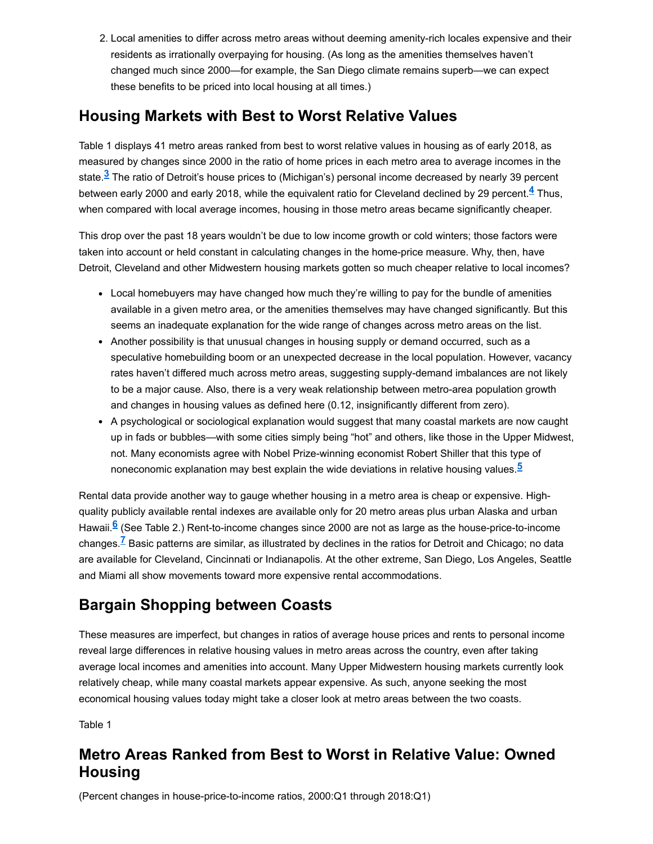2. Local amenities to differ across metro areas without deeming amenity-rich locales expensive and their residents as irrationally overpaying for housing. (As long as the amenities themselves haven't changed much since 2000—for example, the San Diego climate remains superb—we can expect these benefits to be priced into local housing at all times.)

#### **Housing Markets with Best to Worst Relative Values**

<span id="page-1-1"></span>[Table](#page-1-0) 1 displays 41 metro areas ranked from best to worst relative values in housing as of early 2018, as measured by changes since 2000 in the ratio of home prices in each metro area to average incomes in the state.<sup><u>3</mark> The ratio of Detroit's house prices to (Michigan's) personal income decreased by nearly 39 percent</sup></u> between early 2000 and early 2018, while the equivalent ratio for Cleveland declined by 29 percent.<sup><u>4</u> Thus,</sup> when compared with local average incomes, housing in those metro areas became significantly cheaper.

This drop over the past 18 years wouldn't be due to low income growth or cold winters; those factors were taken into account or held constant in calculating changes in the home-price measure. Why, then, have Detroit, Cleveland and other Midwestern housing markets gotten so much cheaper relative to local incomes?

- Local homebuyers may have changed how much they're willing to pay for the bundle of amenities available in a given metro area, or the amenities themselves may have changed significantly. But this seems an inadequate explanation for the wide range of changes across metro areas on the list.
- Another possibility is that unusual changes in housing supply or demand occurred, such as a speculative homebuilding boom or an unexpected decrease in the local population. However, vacancy rates haven't differed much across metro areas, suggesting supply-demand imbalances are not likely to be a major cause. Also, there is a very weak relationship between metro-area population growth and changes in housing values as defined here (0.12, insignificantly different from zero).
- A psychological or sociological explanation would suggest that many coastal markets are now caught up in fads or bubbles—with some cities simply being "hot" and others, like those in the Upper Midwest, not. Many economists agree with Nobel Prize-winning economist Robert Shiller that this type of noneconomic explanation may best explain the wide deviations in relative housing values. **5**

<span id="page-1-2"></span>Rental data provide another way to gauge whether housing in a metro area is cheap or expensive. Highquality publicly available rental indexes are available only for 20 metro areas plus urban Alaska and urban Hawaii.<sup>6</sup> (See [Table](#page-3-0) 2.) Rent-to-income changes since 2000 are not as large as the house-price-to-income changes.<sup>Z</sup> Basic patterns are similar, as illustrated by declines in the ratios for Detroit and Chicago; no data are available for Cleveland, Cincinnati or Indianapolis. At the other extreme, San Diego, Los Angeles, Seattle and Miami all show movements toward more expensive rental accommodations.

### **Bargain Shopping between Coasts**

These measures are imperfect, but changes in ratios of average house prices and rents to personal income reveal large differences in relative housing values in metro areas across the country, even after taking average local incomes and amenities into account. Many Upper Midwestern housing markets currently look relatively cheap, while many coastal markets appear expensive. As such, anyone seeking the most economical housing values today might take a closer look at metro areas between the two coasts.

<span id="page-1-0"></span>Table 1

### **Metro Areas Ranked from Best to Worst in Relative Value: Owned Housing**

(Percent changes in house-price-to-income ratios, 2000:Q1 through 2018:Q1)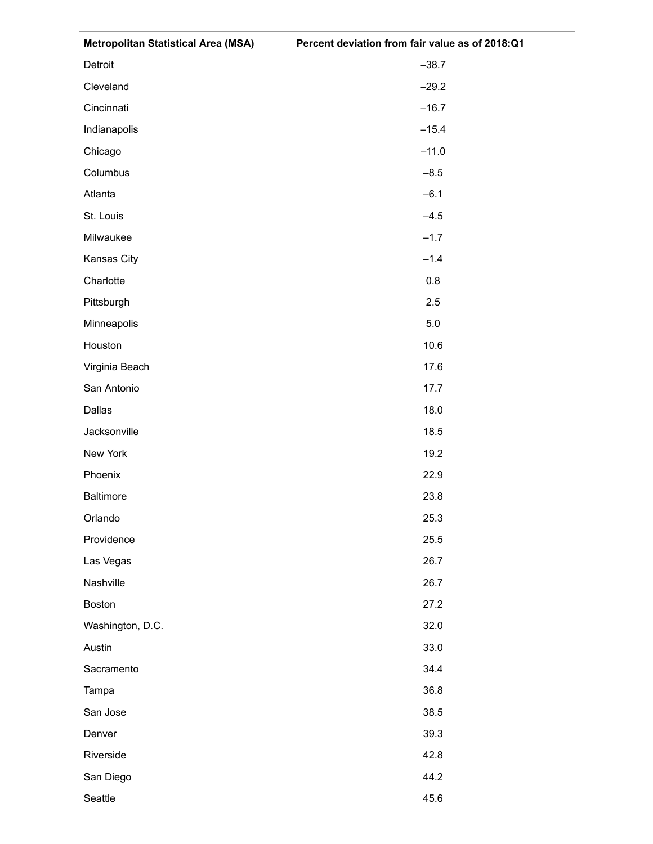| Detroit          | $-38.7$ |
|------------------|---------|
| Cleveland        | $-29.2$ |
| Cincinnati       | $-16.7$ |
| Indianapolis     | $-15.4$ |
| Chicago          | $-11.0$ |
| Columbus         | $-8.5$  |
| Atlanta          | $-6.1$  |
| St. Louis        | $-4.5$  |
| Milwaukee        | $-1.7$  |
| Kansas City      | $-1.4$  |
| Charlotte        | 0.8     |
| Pittsburgh       | 2.5     |
| Minneapolis      | 5.0     |
| Houston          | 10.6    |
| Virginia Beach   | 17.6    |
| San Antonio      | 17.7    |
| Dallas           | 18.0    |
| Jacksonville     | 18.5    |
| New York         | 19.2    |
| Phoenix          | 22.9    |
| <b>Baltimore</b> | 23.8    |
| Orlando          | 25.3    |
| Providence       | 25.5    |
| Las Vegas        | 26.7    |
| Nashville        | 26.7    |
| <b>Boston</b>    | 27.2    |
| Washington, D.C. | 32.0    |
| Austin           | 33.0    |
| Sacramento       | 34.4    |
| Tampa            | 36.8    |
| San Jose         | 38.5    |
| Denver           | 39.3    |
| Riverside        | 42.8    |
| San Diego        | 44.2    |
| Seattle          | 45.6    |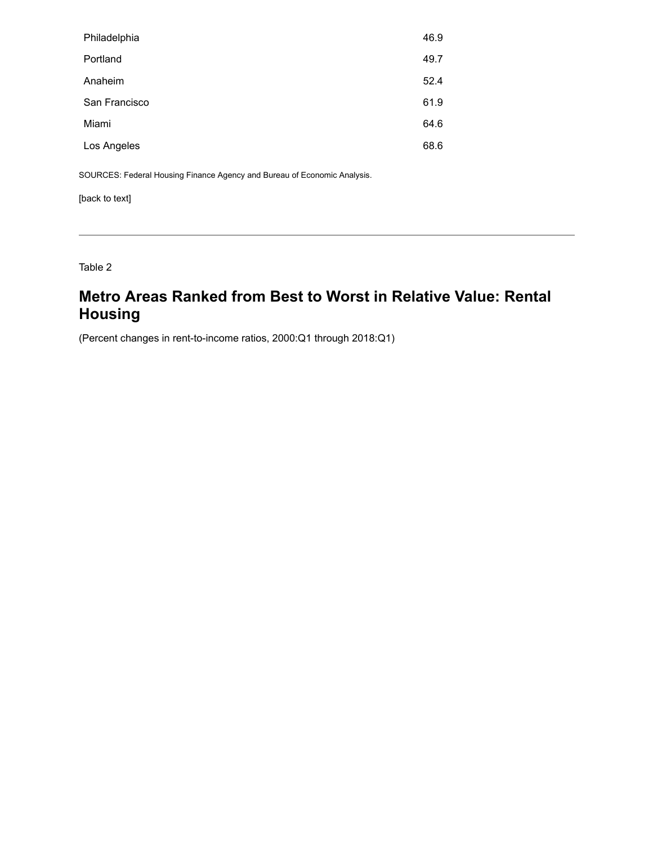| Philadelphia  | 46.9 |
|---------------|------|
| Portland      | 49.7 |
| Anaheim       | 52.4 |
| San Francisco | 61.9 |
| Miami         | 64.6 |
| Los Angeles   | 68.6 |

SOURCES: Federal Housing Finance Agency and Bureau of Economic Analysis.

[\[back](#page-1-1) to text]

<span id="page-3-0"></span>Table 2

## **Metro Areas Ranked from Best to Worst in Relative Value: Rental Housing**

(Percent changes in rent-to-income ratios, 2000:Q1 through 2018:Q1)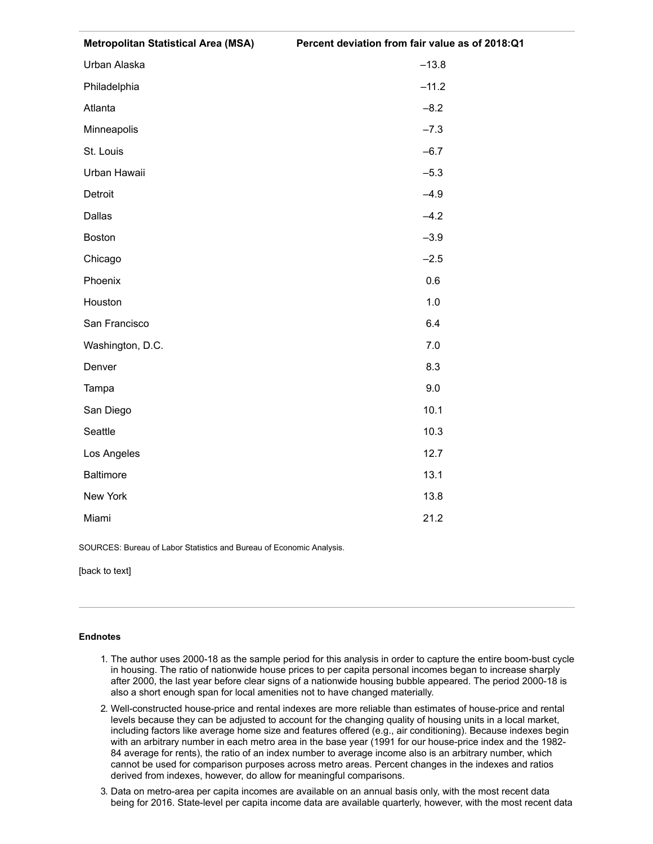| <b>Metropolitan Statistical Area (MSA)</b> | Percent deviation from fair value as of 2018:Q1 |
|--------------------------------------------|-------------------------------------------------|
| Urban Alaska                               | $-13.8$                                         |
| Philadelphia                               | $-11.2$                                         |
| Atlanta                                    | $-8.2$                                          |
| Minneapolis                                | $-7.3$                                          |
| St. Louis                                  | $-6.7$                                          |
| Urban Hawaii                               | $-5.3$                                          |
| Detroit                                    | $-4.9$                                          |
| Dallas                                     | $-4.2$                                          |
| <b>Boston</b>                              | $-3.9$                                          |
| Chicago                                    | $-2.5$                                          |
| Phoenix                                    | 0.6                                             |
| Houston                                    | 1.0                                             |
| San Francisco                              | 6.4                                             |
| Washington, D.C.                           | 7.0                                             |
| Denver                                     | 8.3                                             |
| Tampa                                      | 9.0                                             |
| San Diego                                  | 10.1                                            |
| Seattle                                    | 10.3                                            |
| Los Angeles                                | 12.7                                            |
| Baltimore                                  | 13.1                                            |
| New York                                   | 13.8                                            |
| Miami                                      | 21.2                                            |

SOURCES: Bureau of Labor Statistics and Bureau of Economic Analysis.

[\[back](#page-1-2) to text]

#### **Endnotes**

- 1. The author uses 2000-18 as the sample period for this analysis in order to capture the entire boom-bust cycle in housing. The ratio of nationwide house prices to per capita personal incomes began to increase sharply after 2000, the last year before clear signs of a nationwide housing bubble appeared. The period 2000-18 is also a short enough span for local amenities not to have changed materially.
- 2. Well-constructed house-price and rental indexes are more reliable than estimates of house-price and rental levels because they can be adjusted to account for the changing quality of housing units in a local market, including factors like average home size and features offered (e.g., air conditioning). Because indexes begin with an arbitrary number in each metro area in the base year (1991 for our house-price index and the 1982- 84 average for rents), the ratio of an index number to average income also is an arbitrary number, which cannot be used for comparison purposes across metro areas. Percent changes in the indexes and ratios derived from indexes, however, do allow for meaningful comparisons.
- 3. Data on metro-area per capita incomes are available on an annual basis only, with the most recent data being for 2016. State-level per capita income data are available quarterly, however, with the most recent data